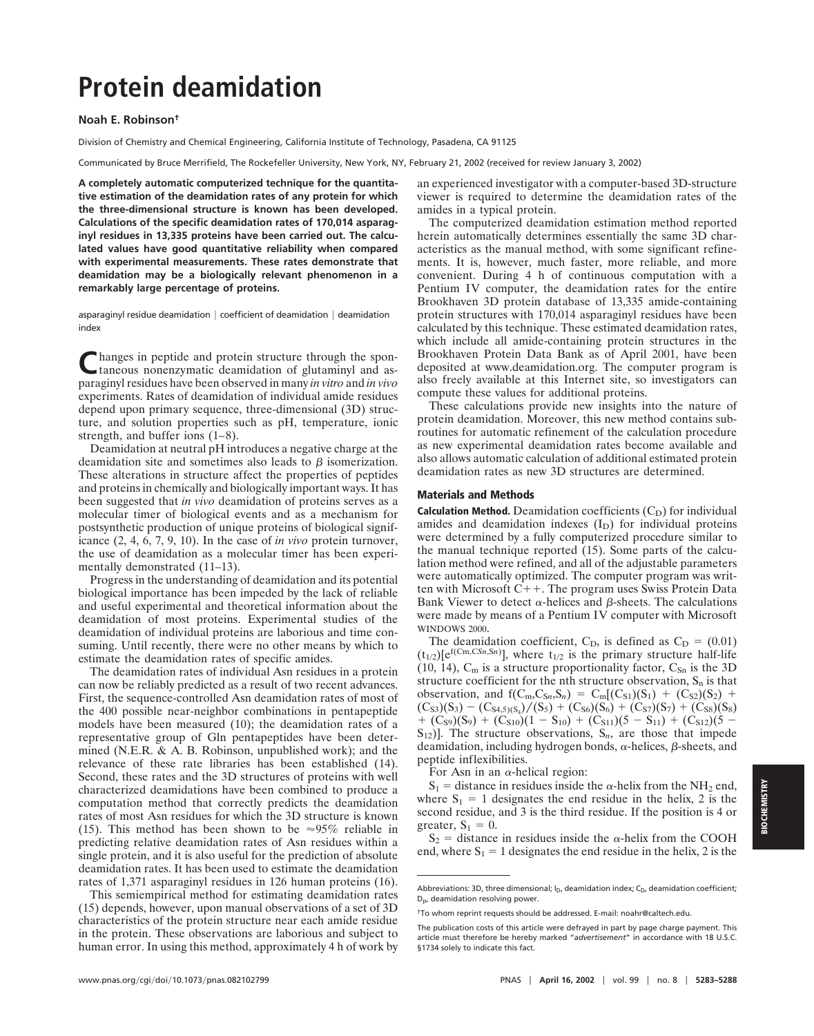# **Protein deamidation**

## **Noah E. Robinson†**

Division of Chemistry and Chemical Engineering, California Institute of Technology, Pasadena, CA 91125

Communicated by Bruce Merrifield, The Rockefeller University, New York, NY, February 21, 2002 (received for review January 3, 2002)

**A completely automatic computerized technique for the quantitative estimation of the deamidation rates of any protein for which the three-dimensional structure is known has been developed. Calculations of the specific deamidation rates of 170,014 asparaginyl residues in 13,335 proteins have been carried out. The calculated values have good quantitative reliability when compared with experimental measurements. These rates demonstrate that deamidation may be a biologically relevant phenomenon in a remarkably large percentage of proteins.**

asparaginyl residue deamidation  $|$  coefficient of deamidation  $|$  deamidation index

Changes in peptide and protein structure through the spon-<br>taneous nonenzymatic deamidation of glutaminyl and asparaginyl residues have been observed in many *in vitro* and *in vivo* experiments. Rates of deamidation of individual amide residues depend upon primary sequence, three-dimensional (3D) structure, and solution properties such as pH, temperature, ionic strength, and buffer ions (1–8).

Deamidation at neutral pH introduces a negative charge at the deamidation site and sometimes also leads to  $\beta$  isomerization. These alterations in structure affect the properties of peptides and proteins in chemically and biologically important ways. It has been suggested that *in vivo* deamidation of proteins serves as a molecular timer of biological events and as a mechanism for postsynthetic production of unique proteins of biological significance (2, 4, 6, 7, 9, 10). In the case of *in vivo* protein turnover, the use of deamidation as a molecular timer has been experimentally demonstrated (11–13).

Progress in the understanding of deamidation and its potential biological importance has been impeded by the lack of reliable and useful experimental and theoretical information about the deamidation of most proteins. Experimental studies of the deamidation of individual proteins are laborious and time consuming. Until recently, there were no other means by which to estimate the deamidation rates of specific amides.

The deamidation rates of individual Asn residues in a protein can now be reliably predicted as a result of two recent advances. First, the sequence-controlled Asn deamidation rates of most of the 400 possible near-neighbor combinations in pentapeptide models have been measured (10); the deamidation rates of a representative group of Gln pentapeptides have been determined (N.E.R. & A. B. Robinson, unpublished work); and the relevance of these rate libraries has been established (14). Second, these rates and the 3D structures of proteins with well characterized deamidations have been combined to produce a computation method that correctly predicts the deamidation rates of most Asn residues for which the 3D structure is known (15). This method has been shown to be  $\approx 95\%$  reliable in predicting relative deamidation rates of Asn residues within a single protein, and it is also useful for the prediction of absolute deamidation rates. It has been used to estimate the deamidation rates of 1,371 asparaginyl residues in 126 human proteins (16).

This semiempirical method for estimating deamidation rates (15) depends, however, upon manual observations of a set of 3D characteristics of the protein structure near each amide residue in the protein. These observations are laborious and subject to human error. In using this method, approximately 4 h of work by an experienced investigator with a computer-based 3D-structure viewer is required to determine the deamidation rates of the amides in a typical protein.

The computerized deamidation estimation method reported herein automatically determines essentially the same 3D characteristics as the manual method, with some significant refinements. It is, however, much faster, more reliable, and more convenient. During 4 h of continuous computation with a Pentium IV computer, the deamidation rates for the entire Brookhaven 3D protein database of 13,335 amide-containing protein structures with 170,014 asparaginyl residues have been calculated by this technique. These estimated deamidation rates, which include all amide-containing protein structures in the Brookhaven Protein Data Bank as of April 2001, have been deposited at www.deamidation.org. The computer program is also freely available at this Internet site, so investigators can compute these values for additional proteins.

These calculations provide new insights into the nature of protein deamidation. Moreover, this new method contains subroutines for automatic refinement of the calculation procedure as new experimental deamidation rates become available and also allows automatic calculation of additional estimated protein deamidation rates as new 3D structures are determined.

### **Materials and Methods**

**Calculation Method.** Deamidation coefficients  $(C<sub>D</sub>)$  for individual amides and deamidation indexes  $(I_D)$  for individual proteins were determined by a fully computerized procedure similar to the manual technique reported (15). Some parts of the calculation method were refined, and all of the adjustable parameters were automatically optimized. The computer program was written with Microsoft C++. The program uses Swiss Protein Data Bank Viewer to detect  $\alpha$ -helices and  $\beta$ -sheets. The calculations were made by means of a Pentium IV computer with Microsoft WINDOWS 2000.

The deamidation coefficient,  $C_D$ , is defined as  $C_D = (0.01)$  $(t_{1/2})$ [e<sup>f(Cm,CSn,Sn)], where  $t_{1/2}$  is the primary structure half-life</sup> (10, 14),  $C_m$  is a structure proportionality factor,  $C_{Sn}$  is the 3D structure coefficient for the nth structure observation,  $S_n$  is that observation, and  $f(C_m, C_{Sn}, S_n) = C_m[(C_{S1})(S_1) + (C_{S2})(S_2) +$  $(C_{S3})(S_3) - (C_{S4,5)(S_4})/(S_5) + (C_{S6})(S_6) + (C_{S7})(S_7) + (C_{S8})(S_8)$  $+$  (C<sub>S9</sub>)(S<sub>9</sub>) + (C<sub>S10</sub>)(1 - S<sub>10</sub>) + (C<sub>S11</sub>)(5 - S<sub>11</sub>) + (C<sub>S12</sub>)(5 - $S_{12}$ ]. The structure observations,  $S_n$ , are those that impede deamidation, including hydrogen bonds,  $\alpha$ -helices,  $\beta$ -sheets, and peptide inflexibilities.

For Asn in an  $\alpha$ -helical region:

 $S_1$  = distance in residues inside the  $\alpha$ -helix from the NH<sub>2</sub> end, where  $S_1 = 1$  designates the end residue in the helix, 2 is the second residue, and 3 is the third residue. If the position is 4 or greater,  $S_1 = 0$ .

 $S_2$  = distance in residues inside the  $\alpha$ -helix from the COOH end, where  $S_1 = 1$  designates the end residue in the helix, 2 is the

Abbreviations: 3D, three dimensional;  $I_D$ , deamidation index;  $C_D$ , deamidation coefficient; Dp, deamidation resolving power.

<sup>†</sup>To whom reprint requests should be addressed. E-mail: noahr@caltech.edu.

The publication costs of this article were defrayed in part by page charge payment. This article must therefore be hereby marked "*advertisement*" in accordance with 18 U.S.C. §1734 solely to indicate this fact.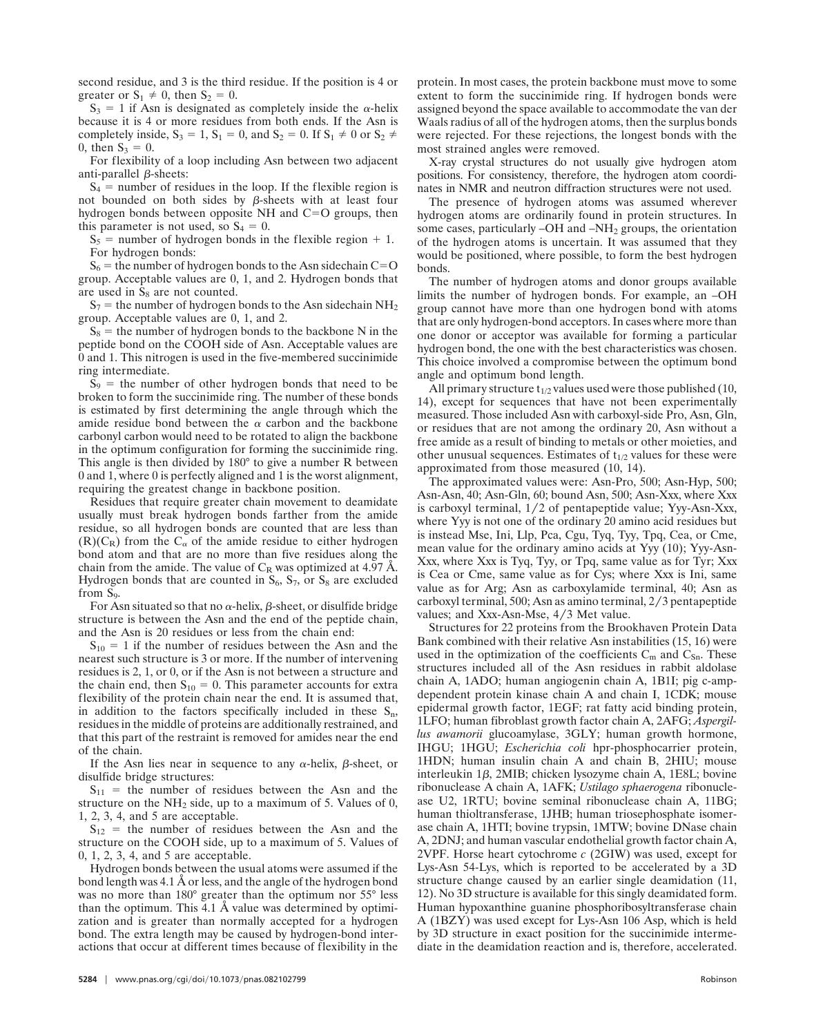second residue, and 3 is the third residue. If the position is 4 or greater or  $S_1 \neq 0$ , then  $S_2 = 0$ .

 $S_3 = 1$  if Asn is designated as completely inside the  $\alpha$ -helix because it is 4 or more residues from both ends. If the Asn is completely inside,  $S_3 = 1$ ,  $S_1 = 0$ , and  $S_2 = 0$ . If  $S_1 \neq 0$  or  $S_2 \neq 0$ 0, then  $S_3 = 0$ .

For flexibility of a loop including Asn between two adjacent anti-parallel  $\beta$ -sheets:

 $S_4$  = number of residues in the loop. If the flexible region is not bounded on both sides by  $\beta$ -sheets with at least four hydrogen bonds between opposite NH and  $C=O$  groups, then this parameter is not used, so  $S_4 = 0$ .

 $S_5$  = number of hydrogen bonds in the flexible region + 1. For hydrogen bonds:

 $S_6$  = the number of hydrogen bonds to the Asn sidechain C=O group. Acceptable values are 0, 1, and 2. Hydrogen bonds that are used in  $S_8$  are not counted.

 $S_7$  = the number of hydrogen bonds to the Asn sidechain NH<sub>2</sub> group. Acceptable values are 0, 1, and 2.

 $S_8$  = the number of hydrogen bonds to the backbone N in the peptide bond on the COOH side of Asn. Acceptable values are 0 and 1. This nitrogen is used in the five-membered succinimide ring intermediate.

 $S_9$  = the number of other hydrogen bonds that need to be broken to form the succinimide ring. The number of these bonds is estimated by first determining the angle through which the amide residue bond between the  $\alpha$  carbon and the backbone carbonyl carbon would need to be rotated to align the backbone in the optimum configuration for forming the succinimide ring. This angle is then divided by 180° to give a number R between 0 and 1, where 0 is perfectly aligned and 1 is the worst alignment, requiring the greatest change in backbone position.

Residues that require greater chain movement to deamidate usually must break hydrogen bonds farther from the amide residue, so all hydrogen bonds are counted that are less than  $(R)(C_R)$  from the  $C_\alpha$  of the amide residue to either hydrogen bond atom and that are no more than five residues along the chain from the amide. The value of  $C_R$  was optimized at 4.97 Å. Hydrogen bonds that are counted in  $S_6$ ,  $S_7$ , or  $S_8$  are excluded from  $S<sub>9</sub>$ .

For Asn situated so that no  $\alpha$ -helix,  $\beta$ -sheet, or disulfide bridge structure is between the Asn and the end of the peptide chain, and the Asn is 20 residues or less from the chain end:

 $S_{10} = 1$  if the number of residues between the Asn and the nearest such structure is 3 or more. If the number of intervening residues is 2, 1, or 0, or if the Asn is not between a structure and the chain end, then  $S_{10} = 0$ . This parameter accounts for extra flexibility of the protein chain near the end. It is assumed that, in addition to the factors specifically included in these  $S_n$ , residues in the middle of proteins are additionally restrained, and that this part of the restraint is removed for amides near the end of the chain.

If the Asn lies near in sequence to any  $\alpha$ -helix,  $\beta$ -sheet, or disulfide bridge structures:

 $S_{11}$  = the number of residues between the Asn and the structure on the  $NH<sub>2</sub>$  side, up to a maximum of 5. Values of 0, 1, 2, 3, 4, and 5 are acceptable.

 $S_{12}$  = the number of residues between the Asn and the structure on the COOH side, up to a maximum of 5. Values of 0, 1, 2, 3, 4, and 5 are acceptable.

Hydrogen bonds between the usual atoms were assumed if the bond length was 4.1 Å or less, and the angle of the hydrogen bond was no more than 180° greater than the optimum nor 55° less than the optimum. This 4.1 Å value was determined by optimization and is greater than normally accepted for a hydrogen bond. The extra length may be caused by hydrogen-bond interactions that occur at different times because of flexibility in the protein. In most cases, the protein backbone must move to some extent to form the succinimide ring. If hydrogen bonds were assigned beyond the space available to accommodate the van der Waals radius of all of the hydrogen atoms, then the surplus bonds were rejected. For these rejections, the longest bonds with the most strained angles were removed.

X-ray crystal structures do not usually give hydrogen atom positions. For consistency, therefore, the hydrogen atom coordinates in NMR and neutron diffraction structures were not used.

The presence of hydrogen atoms was assumed wherever hydrogen atoms are ordinarily found in protein structures. In some cases, particularly –OH and –NH<sub>2</sub> groups, the orientation of the hydrogen atoms is uncertain. It was assumed that they would be positioned, where possible, to form the best hydrogen bonds.

The number of hydrogen atoms and donor groups available limits the number of hydrogen bonds. For example, an –OH group cannot have more than one hydrogen bond with atoms that are only hydrogen-bond acceptors. In cases where more than one donor or acceptor was available for forming a particular hydrogen bond, the one with the best characteristics was chosen. This choice involved a compromise between the optimum bond angle and optimum bond length.

All primary structure  $t_{1/2}$  values used were those published (10, 14), except for sequences that have not been experimentally measured. Those included Asn with carboxyl-side Pro, Asn, Gln, or residues that are not among the ordinary 20, Asn without a free amide as a result of binding to metals or other moieties, and other unusual sequences. Estimates of  $t_{1/2}$  values for these were approximated from those measured (10, 14).

The approximated values were: Asn-Pro, 500; Asn-Hyp, 500; Asn-Asn, 40; Asn-Gln, 60; bound Asn, 500; Asn-Xxx, where Xxx is carboxyl terminal,  $1/2$  of pentapeptide value; Yyy-Asn-Xxx, where Yyy is not one of the ordinary 20 amino acid residues but is instead Mse, Ini, Llp, Pca, Cgu, Tyq, Tyy, Tpq, Cea, or Cme, mean value for the ordinary amino acids at Yyy (10); Yyy-Asn-Xxx, where Xxx is Tyq, Tyy, or Tpq, same value as for Tyr; Xxx is Cea or Cme, same value as for Cys; where Xxx is Ini, same value as for Arg; Asn as carboxylamide terminal, 40; Asn as carboxyl terminal, 500; Asn as amino terminal, 2/3 pentapeptide values; and Xxx-Asn-Mse, 4/3 Met value.

Structures for 22 proteins from the Brookhaven Protein Data Bank combined with their relative Asn instabilities (15, 16) were used in the optimization of the coefficients  $C_m$  and  $C_{Sn}$ . These structures included all of the Asn residues in rabbit aldolase chain A, 1ADO; human angiogenin chain A, 1B1I; pig c-ampdependent protein kinase chain A and chain I, 1CDK; mouse epidermal growth factor, 1EGF; rat fatty acid binding protein, 1LFO; human fibroblast growth factor chain A, 2AFG; *Aspergillus awamorii* glucoamylase, 3GLY; human growth hormone, IHGU; 1HGU; *Escherichia coli* hpr-phosphocarrier protein, 1HDN; human insulin chain A and chain B, 2HIU; mouse interleukin  $1\beta$ , 2MIB; chicken lysozyme chain A, 1E8L; bovine ribonuclease A chain A, 1AFK; *Ustilago sphaerogena* ribonuclease U2, 1RTU; bovine seminal ribonuclease chain A, 11BG; human thioltransferase, 1JHB; human triosephosphate isomerase chain A, 1HTI; bovine trypsin, 1MTW; bovine DNase chain A, 2DNJ; and human vascular endothelial growth factor chain A, 2VPF. Horse heart cytochrome *c* (2GIW) was used, except for Lys-Asn 54-Lys, which is reported to be accelerated by a 3D structure change caused by an earlier single deamidation (11, 12). No 3D structure is available for this singly deamidated form. Human hypoxanthine guanine phosphoribosyltransferase chain A (1BZY) was used except for Lys-Asn 106 Asp, which is held by 3D structure in exact position for the succinimide intermediate in the deamidation reaction and is, therefore, accelerated.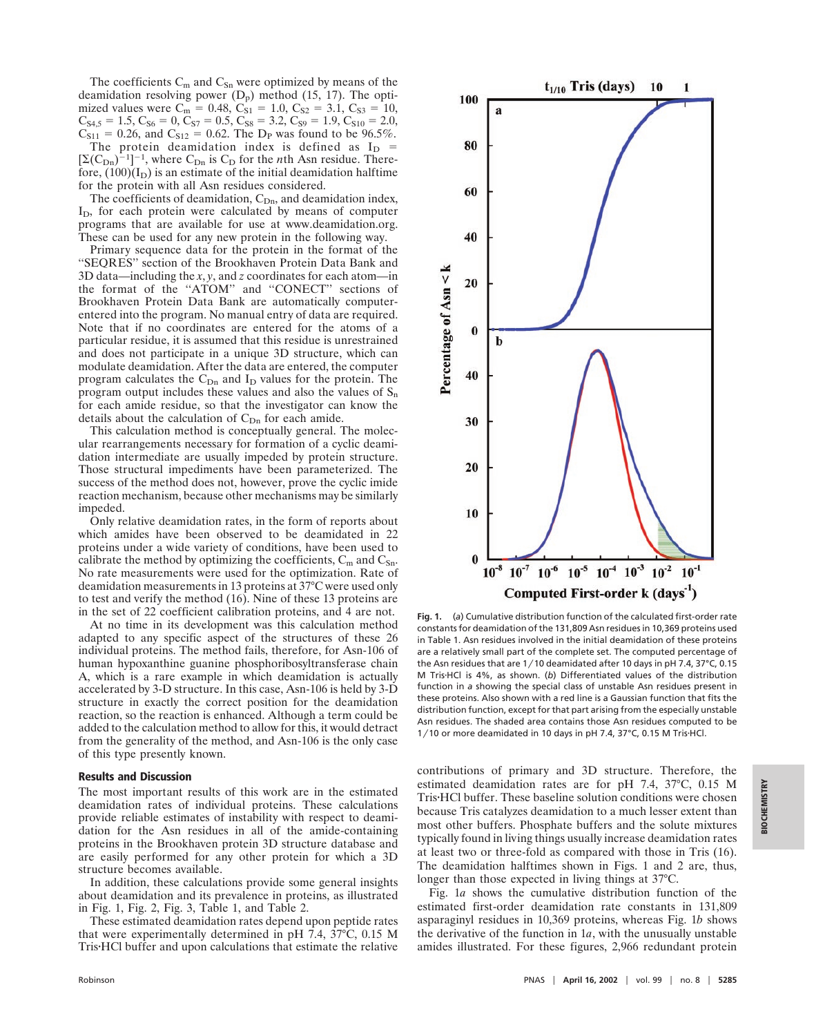The coefficients  $C_m$  and  $C_{Sn}$  were optimized by means of the deamidation resolving power  $(D_p)$  method (15, 17). The optimized values were  $C_m = 0.48$ ,  $C_{S1} = 1.0$ ,  $C_{S2} = 3.1$ ,  $C_{S3} = 10$ ,  $C_{S4,5} = 1.5, C_{S6} = 0, C_{S7} = 0.5, C_{S8} = 3.2, C_{S9} = 1.9, C_{S10} = 2.0,$  $C_{S11} = 0.26$ , and  $C_{S12} = 0.62$ . The D<sub>P</sub> was found to be 96.5%. The protein deamidation index is defined as  $I_D$  =  $[\Sigma(C_{\text{Dn}})^{-1}]^{-1}$ , where  $C_{\text{Dn}}$  is  $C_{\text{D}}$  for the *n*th Asn residue. Therefore,  $(100)(I_D)$  is an estimate of the initial deamidation halftime for the protein with all Asn residues considered.

The coefficients of deamidation,  $C_{Dn}$ , and deamidation index,  $I<sub>D</sub>$ , for each protein were calculated by means of computer programs that are available for use at www.deamidation.org. These can be used for any new protein in the following way.

Primary sequence data for the protein in the format of the ''SEQRES'' section of the Brookhaven Protein Data Bank and 3D data—including the *x*, *y*, and *z* coordinates for each atom—in the format of the "ATOM" and "CONECT" sections of Brookhaven Protein Data Bank are automatically computerentered into the program. No manual entry of data are required. Note that if no coordinates are entered for the atoms of a particular residue, it is assumed that this residue is unrestrained and does not participate in a unique 3D structure, which can modulate deamidation. After the data are entered, the computer program calculates the  $C_{Dn}$  and  $I_D$  values for the protein. The program output includes these values and also the values of  $S_n$ for each amide residue, so that the investigator can know the details about the calculation of  $C_{Dn}$  for each amide.

This calculation method is conceptually general. The molecular rearrangements necessary for formation of a cyclic deamidation intermediate are usually impeded by protein structure. Those structural impediments have been parameterized. The success of the method does not, however, prove the cyclic imide reaction mechanism, because other mechanisms may be similarly impeded.

Only relative deamidation rates, in the form of reports about which amides have been observed to be deamidated in 22 proteins under a wide variety of conditions, have been used to calibrate the method by optimizing the coefficients,  $C_m$  and  $C_{Sn}$ . No rate measurements were used for the optimization. Rate of deamidation measurements in 13 proteins at 37°C were used only to test and verify the method (16). Nine of these 13 proteins are in the set of 22 coefficient calibration proteins, and 4 are not.

At no time in its development was this calculation method adapted to any specific aspect of the structures of these 26 individual proteins. The method fails, therefore, for Asn-106 of human hypoxanthine guanine phosphoribosyltransferase chain A, which is a rare example in which deamidation is actually accelerated by 3-D structure. In this case, Asn-106 is held by 3-D structure in exactly the correct position for the deamidation reaction, so the reaction is enhanced. Although a term could be added to the calculation method to allow for this, it would detract from the generality of the method, and Asn-106 is the only case of this type presently known.

#### **Results and Discussion**

The most important results of this work are in the estimated deamidation rates of individual proteins. These calculations provide reliable estimates of instability with respect to deamidation for the Asn residues in all of the amide-containing proteins in the Brookhaven protein 3D structure database and are easily performed for any other protein for which a 3D structure becomes available.

In addition, these calculations provide some general insights about deamidation and its prevalence in proteins, as illustrated in Fig. 1, Fig. 2, Fig. 3, Table 1, and Table 2.

These estimated deamidation rates depend upon peptide rates that were experimentally determined in pH 7.4, 37°C, 0.15 M TrisHCl buffer and upon calculations that estimate the relative



**Fig. 1.** (*a*) Cumulative distribution function of the calculated first-order rate constants for deamidation of the 131,809 Asn residues in 10,369 proteins used in Table 1. Asn residues involved in the initial deamidation of these proteins are a relatively small part of the complete set. The computed percentage of the Asn residues that are 1/10 deamidated after 10 days in pH 7.4, 37°C, 0.15 M TrisHCl is 4%, as shown. (*b*) Differentiated values of the distribution function in *a* showing the special class of unstable Asn residues present in these proteins. Also shown with a red line is a Gaussian function that fits the distribution function, except for that part arising from the especially unstable Asn residues. The shaded area contains those Asn residues computed to be 1/10 or more deamidated in 10 days in pH 7.4, 37°C, 0.15 M Tris·HCl.

contributions of primary and 3D structure. Therefore, the estimated deamidation rates are for pH 7.4, 37°C, 0.15 M TrisHCl buffer. These baseline solution conditions were chosen because Tris catalyzes deamidation to a much lesser extent than most other buffers. Phosphate buffers and the solute mixtures typically found in living things usually increase deamidation rates at least two or three-fold as compared with those in Tris (16). The deamidation halftimes shown in Figs. 1 and 2 are, thus, longer than those expected in living things at 37°C.

Fig. 1*a* shows the cumulative distribution function of the estimated first-order deamidation rate constants in 131,809 asparaginyl residues in 10,369 proteins, whereas Fig. 1*b* shows the derivative of the function in 1*a*, with the unusually unstable amides illustrated. For these figures, 2,966 redundant protein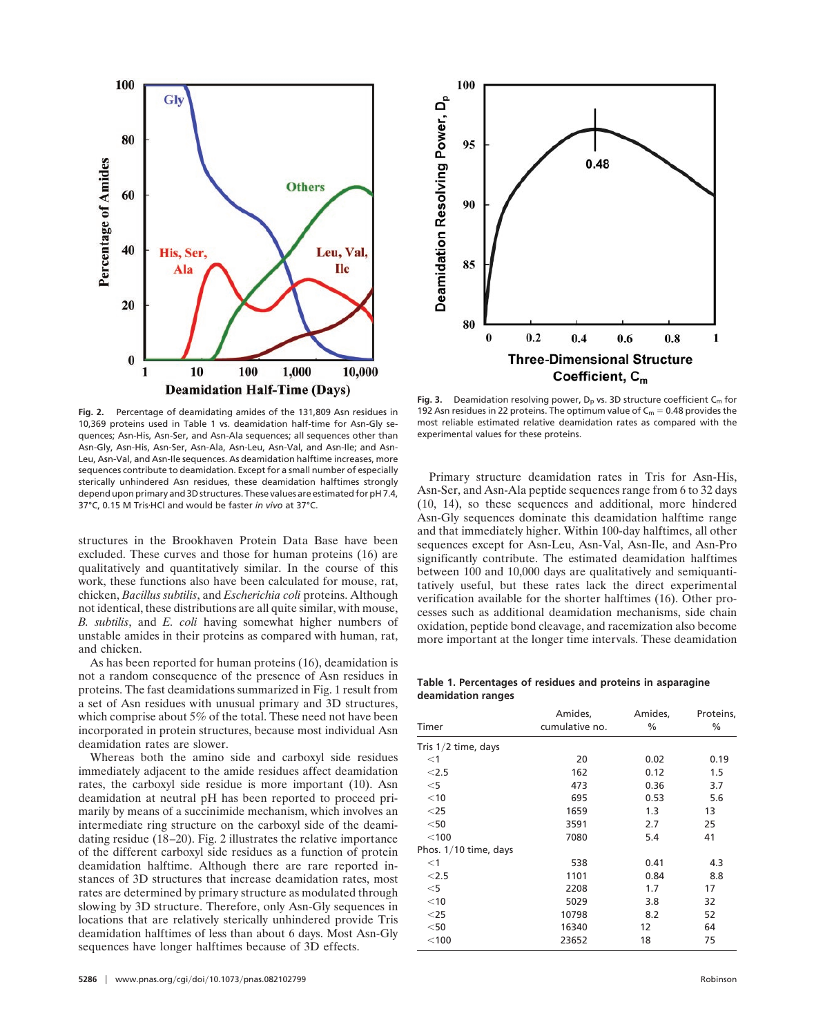

**Fig. 2.** Percentage of deamidating amides of the 131,809 Asn residues in 10,369 proteins used in Table 1 vs. deamidation half-time for Asn-Gly sequences; Asn-His, Asn-Ser, and Asn-Ala sequences; all sequences other than Asn-Gly, Asn-His, Asn-Ser, Asn-Ala, Asn-Leu, Asn-Val, and Asn-Ile; and Asn-Leu, Asn-Val, and Asn-Ile sequences. As deamidation halftime increases, more sequences contribute to deamidation. Except for a small number of especially sterically unhindered Asn residues, these deamidation halftimes strongly depend upon primary and 3D structures. These values are estimated for pH 7.4, 37°C, 0.15 M TrisHCl and would be faster *in vivo* at 37°C.

structures in the Brookhaven Protein Data Base have been excluded. These curves and those for human proteins (16) are qualitatively and quantitatively similar. In the course of this work, these functions also have been calculated for mouse, rat, chicken, *Bacillus subtilis*, and *Escherichia coli* proteins. Although not identical, these distributions are all quite similar, with mouse, *B. subtilis*, and *E. coli* having somewhat higher numbers of unstable amides in their proteins as compared with human, rat, and chicken.

As has been reported for human proteins (16), deamidation is not a random consequence of the presence of Asn residues in proteins. The fast deamidations summarized in Fig. 1 result from a set of Asn residues with unusual primary and 3D structures, which comprise about 5% of the total. These need not have been incorporated in protein structures, because most individual Asn deamidation rates are slower.

Whereas both the amino side and carboxyl side residues immediately adjacent to the amide residues affect deamidation rates, the carboxyl side residue is more important (10). Asn deamidation at neutral pH has been reported to proceed primarily by means of a succinimide mechanism, which involves an intermediate ring structure on the carboxyl side of the deamidating residue (18–20). Fig. 2 illustrates the relative importance of the different carboxyl side residues as a function of protein deamidation halftime. Although there are rare reported instances of 3D structures that increase deamidation rates, most rates are determined by primary structure as modulated through slowing by 3D structure. Therefore, only Asn-Gly sequences in locations that are relatively sterically unhindered provide Tris deamidation halftimes of less than about 6 days. Most Asn-Gly sequences have longer halftimes because of 3D effects.



Fig. 3. Deamidation resolving power,  $D_p$  vs. 3D structure coefficient  $C_m$  for 192 Asn residues in 22 proteins. The optimum value of  $C_m = 0.48$  provides the most reliable estimated relative deamidation rates as compared with the experimental values for these proteins.

Primary structure deamidation rates in Tris for Asn-His, Asn-Ser, and Asn-Ala peptide sequences range from 6 to 32 days (10, 14), so these sequences and additional, more hindered Asn-Gly sequences dominate this deamidation halftime range and that immediately higher. Within 100-day halftimes, all other sequences except for Asn-Leu, Asn-Val, Asn-Ile, and Asn-Pro significantly contribute. The estimated deamidation halftimes between 100 and 10,000 days are qualitatively and semiquantitatively useful, but these rates lack the direct experimental verification available for the shorter halftimes (16). Other processes such as additional deamidation mechanisms, side chain oxidation, peptide bond cleavage, and racemization also become more important at the longer time intervals. These deamidation

**Table 1. Percentages of residues and proteins in asparagine deamidation ranges**

|                       | Amides,        | Amides, | Proteins, |  |
|-----------------------|----------------|---------|-----------|--|
| Timer                 | cumulative no. | $\%$    | $\%$      |  |
| Tris $1/2$ time, days |                |         |           |  |
| $<$ 1                 | 20             | 0.02    | 0.19      |  |
| < 2.5                 | 162            | 0.12    | 1.5       |  |
| $<$ 5                 | 473            | 0.36    | 3.7       |  |
| $<$ 10                | 695            | 0.53    | 5.6       |  |
| $<$ 25                | 1659           | 1.3     | 13        |  |
| $<$ 50                | 3591           | 2.7     | 25        |  |
| $<$ 100               | 7080           | 5.4     | 41        |  |
| Phos. 1/10 time, days |                |         |           |  |
| $<$ 1                 | 538            | 0.41    | 4.3       |  |
| < 2.5                 | 1101           | 0.84    | 8.8       |  |
| $<$ 5                 | 2208           | 1.7     | 17        |  |
| $<$ 10                | 5029           | 3.8     | 32        |  |
| $<$ 25                | 10798          | 8.2     | 52        |  |
| $<$ 50                | 16340          | 12      | 64        |  |
| $<$ 100               | 23652          | 18      | 75        |  |
|                       |                |         |           |  |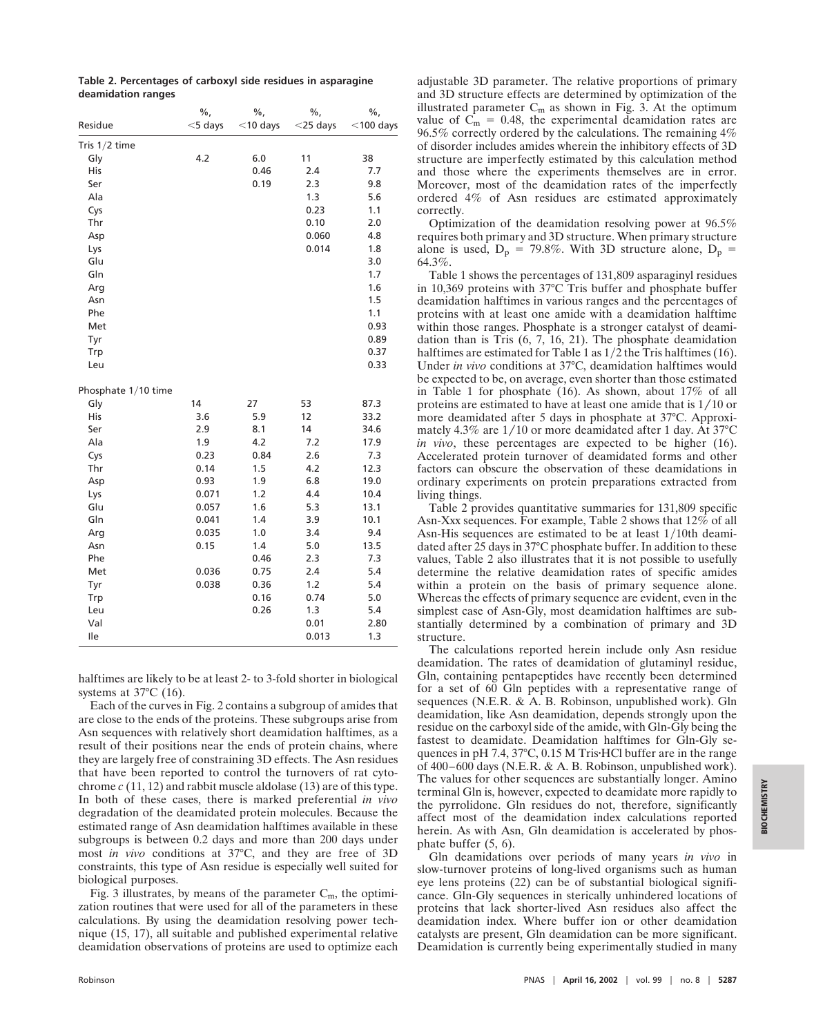|                     | $\%$ ,     | $\%$ ,      | $\%$ ,      | $\%$ ,       |
|---------------------|------------|-------------|-------------|--------------|
| Residue             | $<$ 5 days | $<$ 10 days | $<$ 25 days | $<$ 100 days |
| Tris 1/2 time       |            |             |             |              |
| Gly                 | 4.2        | 6.0         | 11          | 38           |
| His                 |            | 0.46        | 2.4         | 7.7          |
| Ser                 |            | 0.19        | 2.3         | 9.8          |
| Ala                 |            |             | 1.3         | 5.6          |
| Cys                 |            |             | 0.23        | 1.1          |
| Thr                 |            |             | 0.10        | 2.0          |
| Asp                 |            |             | 0.060       | 4.8          |
| Lys                 |            |             | 0.014       | 1.8          |
| Glu                 |            |             |             | 3.0          |
| Gln                 |            |             |             | 1.7          |
| Arg                 |            |             |             | 1.6          |
| Asn                 |            |             |             | 1.5          |
| Phe                 |            |             |             | 1.1          |
| Met                 |            |             |             | 0.93         |
| Tyr                 |            |             |             | 0.89         |
| Trp                 |            |             |             | 0.37         |
| Leu                 |            |             |             | 0.33         |
| Phosphate 1/10 time |            |             |             |              |
| Gly                 | 14         | 27          | 53          | 87.3         |
| His                 | 3.6        | 5.9         | 12          | 33.2         |
| Ser                 | 2.9        | 8.1         | 14          | 34.6         |
| Ala                 | 1.9        | 4.2         | 7.2         | 17.9         |
| Cys                 | 0.23       | 0.84        | 2.6         | 7.3          |
| Thr                 | 0.14       | 1.5         | 4.2         | 12.3         |
| Asp                 | 0.93       | 1.9         | 6.8         | 19.0         |
| Lys                 | 0.071      | 1.2         | 4.4         | 10.4         |
| Glu                 | 0.057      | 1.6         | 5.3         | 13.1         |
| Gln                 | 0.041      | 1.4         | 3.9         | 10.1         |
| Arg                 | 0.035      | 1.0         | 3.4         | 9.4          |
| Asn                 | 0.15       | 1.4         | 5.0         | 13.5         |
| Phe                 |            | 0.46        | 2.3         | 7.3          |
| Met                 | 0.036      | 0.75        | 2.4         | 5.4          |
| Tyr                 | 0.038      | 0.36        | 1.2         | 5.4          |
| Trp                 |            | 0.16        | 0.74        | 5.0          |
| Leu                 |            | 0.26        | 1.3         | 5.4          |
| Val                 |            |             | 0.01        | 2.80         |
| Ile                 |            |             | 0.013       | 1.3          |

**Table 2. Percentages of carboxyl side residues in asparagine deamidation ranges**

halftimes are likely to be at least 2- to 3-fold shorter in biological systems at 37°C (16).

Each of the curves in Fig. 2 contains a subgroup of amides that are close to the ends of the proteins. These subgroups arise from Asn sequences with relatively short deamidation halftimes, as a result of their positions near the ends of protein chains, where they are largely free of constraining 3D effects. The Asn residues that have been reported to control the turnovers of rat cytochrome *c* (11, 12) and rabbit muscle aldolase (13) are of this type. In both of these cases, there is marked preferential *in vivo* degradation of the deamidated protein molecules. Because the estimated range of Asn deamidation halftimes available in these subgroups is between 0.2 days and more than 200 days under most *in vivo* conditions at 37°C, and they are free of 3D constraints, this type of Asn residue is especially well suited for biological purposes.

Fig. 3 illustrates, by means of the parameter  $C_m$ , the optimization routines that were used for all of the parameters in these calculations. By using the deamidation resolving power technique (15, 17), all suitable and published experimental relative deamidation observations of proteins are used to optimize each

adjustable 3D parameter. The relative proportions of primary and 3D structure effects are determined by optimization of the illustrated parameter  $C_m$  as shown in Fig. 3. At the optimum value of  $C_m = 0.48$ , the experimental deamidation rates are 96.5% correctly ordered by the calculations. The remaining 4% of disorder includes amides wherein the inhibitory effects of 3D structure are imperfectly estimated by this calculation method and those where the experiments themselves are in error. Moreover, most of the deamidation rates of the imperfectly ordered 4% of Asn residues are estimated approximately correctly.

Optimization of the deamidation resolving power at 96.5% requires both primary and 3D structure. When primary structure alone is used,  $D_p = 79.8\%$ . With 3D structure alone,  $D_p =$ 64.3%.

Table 1 shows the percentages of 131,809 asparaginyl residues in 10,369 proteins with 37°C Tris buffer and phosphate buffer deamidation halftimes in various ranges and the percentages of proteins with at least one amide with a deamidation halftime within those ranges. Phosphate is a stronger catalyst of deamidation than is Tris (6, 7, 16, 21). The phosphate deamidation halftimes are estimated for Table 1 as  $1/2$  the Tris halftimes (16). Under *in vivo* conditions at 37°C, deamidation halftimes would be expected to be, on average, even shorter than those estimated in Table 1 for phosphate (16). As shown, about 17% of all proteins are estimated to have at least one amide that is  $1/10$  or more deamidated after 5 days in phosphate at 37°C. Approximately 4.3% are  $1/10$  or more deamidated after 1 day. At 37°C *in vivo*, these percentages are expected to be higher (16). Accelerated protein turnover of deamidated forms and other factors can obscure the observation of these deamidations in ordinary experiments on protein preparations extracted from living things.

Table 2 provides quantitative summaries for 131,809 specific Asn-Xxx sequences. For example, Table 2 shows that 12% of all Asn-His sequences are estimated to be at least 1/10th deamidated after 25 days in 37°C phosphate buffer. In addition to these values, Table 2 also illustrates that it is not possible to usefully determine the relative deamidation rates of specific amides within a protein on the basis of primary sequence alone. Whereas the effects of primary sequence are evident, even in the simplest case of Asn-Gly, most deamidation halftimes are substantially determined by a combination of primary and 3D structure.

The calculations reported herein include only Asn residue deamidation. The rates of deamidation of glutaminyl residue, Gln, containing pentapeptides have recently been determined for a set of 60 Gln peptides with a representative range of sequences (N.E.R. & A. B. Robinson, unpublished work). Gln deamidation, like Asn deamidation, depends strongly upon the residue on the carboxyl side of the amide, with Gln-Gly being the fastest to deamidate. Deamidation halftimes for Gln-Gly sequences in pH 7.4, 37°C, 0.15 M Tris HCl buffer are in the range of 400–600 days (N.E.R. & A. B. Robinson, unpublished work). The values for other sequences are substantially longer. Amino terminal Gln is, however, expected to deamidate more rapidly to the pyrrolidone. Gln residues do not, therefore, significantly affect most of the deamidation index calculations reported herein. As with Asn, Gln deamidation is accelerated by phosphate buffer (5, 6).

Gln deamidations over periods of many years *in vivo* in slow-turnover proteins of long-lived organisms such as human eye lens proteins (22) can be of substantial biological significance. Gln-Gly sequences in sterically unhindered locations of proteins that lack shorter-lived Asn residues also affect the deamidation index. Where buffer ion or other deamidation catalysts are present, Gln deamidation can be more significant. Deamidation is currently being experimentally studied in many